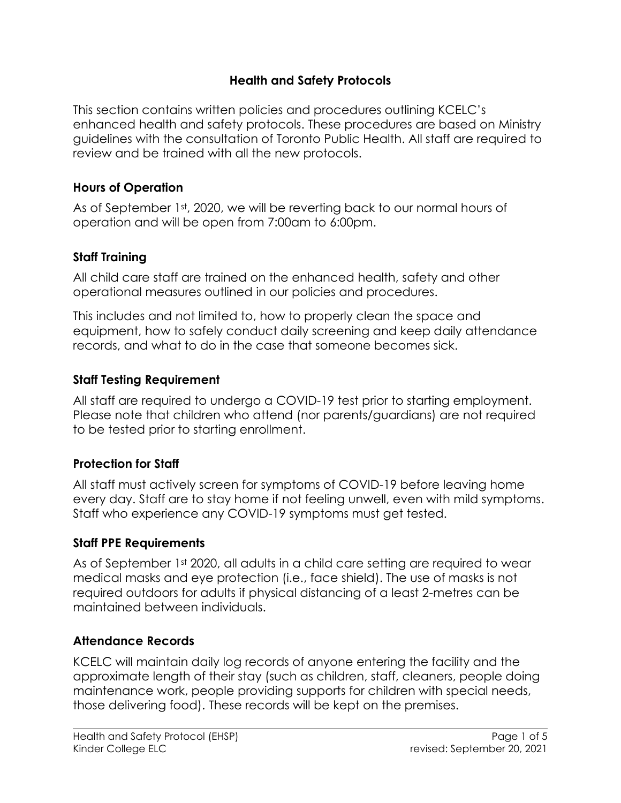### **Health and Safety Protocols**

This section contains written policies and procedures outlining KCELC's enhanced health and safety protocols. These procedures are based on Ministry guidelines with the consultation of Toronto Public Health. All staff are required to review and be trained with all the new protocols.

#### **Hours of Operation**

As of September 1st, 2020, we will be reverting back to our normal hours of operation and will be open from 7:00am to 6:00pm.

### **Staff Training**

All child care staff are trained on the enhanced health, safety and other operational measures outlined in our policies and procedures.

This includes and not limited to, how to properly clean the space and equipment, how to safely conduct daily screening and keep daily attendance records, and what to do in the case that someone becomes sick.

### **Staff Testing Requirement**

All staff are required to undergo a COVID-19 test prior to starting employment. Please note that children who attend (nor parents/guardians) are not required to be tested prior to starting enrollment.

# **Protection for Staff**

All staff must actively screen for symptoms of COVID-19 before leaving home every day. Staff are to stay home if not feeling unwell, even with mild symptoms. Staff who experience any COVID-19 symptoms must get tested.

### **Staff PPE Requirements**

As of September 1st 2020, all adults in a child care setting are required to wear medical masks and eye protection (i.e., face shield). The use of masks is not required outdoors for adults if physical distancing of a least 2-metres can be maintained between individuals.

### **Attendance Records**

KCELC will maintain daily log records of anyone entering the facility and the approximate length of their stay (such as children, staff, cleaners, people doing maintenance work, people providing supports for children with special needs, those delivering food). These records will be kept on the premises.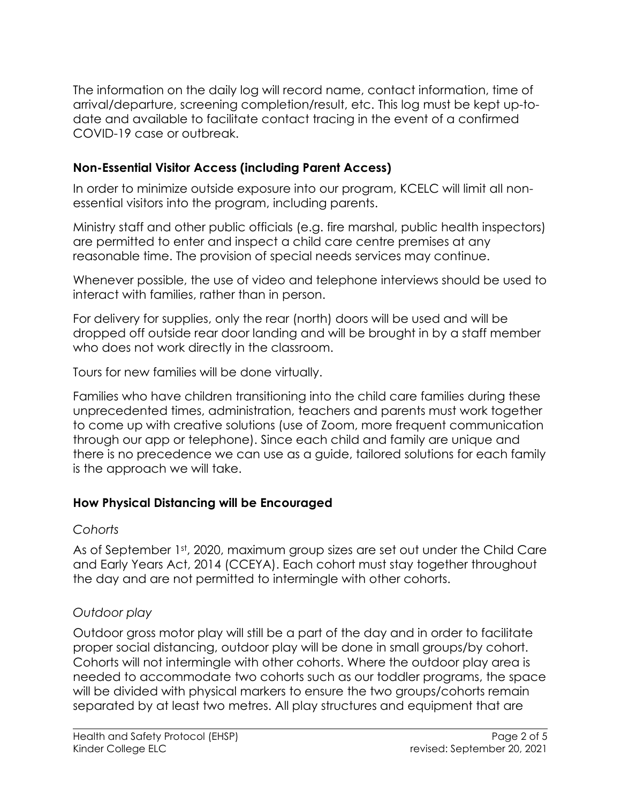The information on the daily log will record name, contact information, time of arrival/departure, screening completion/result, etc. This log must be kept up-todate and available to facilitate contact tracing in the event of a confirmed COVID-19 case or outbreak.

## **Non-Essential Visitor Access (including Parent Access)**

In order to minimize outside exposure into our program, KCELC will limit all nonessential visitors into the program, including parents.

Ministry staff and other public officials (e.g. fire marshal, public health inspectors) are permitted to enter and inspect a child care centre premises at any reasonable time. The provision of special needs services may continue.

Whenever possible, the use of video and telephone interviews should be used to interact with families, rather than in person.

For delivery for supplies, only the rear (north) doors will be used and will be dropped off outside rear door landing and will be brought in by a staff member who does not work directly in the classroom.

Tours for new families will be done virtually.

Families who have children transitioning into the child care families during these unprecedented times, administration, teachers and parents must work together to come up with creative solutions (use of Zoom, more frequent communication through our app or telephone). Since each child and family are unique and there is no precedence we can use as a guide, tailored solutions for each family is the approach we will take.

### **How Physical Distancing will be Encouraged**

#### *Cohorts*

As of September 1st, 2020, maximum group sizes are set out under the Child Care and Early Years Act, 2014 (CCEYA). Each cohort must stay together throughout the day and are not permitted to intermingle with other cohorts.

### *Outdoor play*

Outdoor gross motor play will still be a part of the day and in order to facilitate proper social distancing, outdoor play will be done in small groups/by cohort. Cohorts will not intermingle with other cohorts. Where the outdoor play area is needed to accommodate two cohorts such as our toddler programs, the space will be divided with physical markers to ensure the two groups/cohorts remain separated by at least two metres. All play structures and equipment that are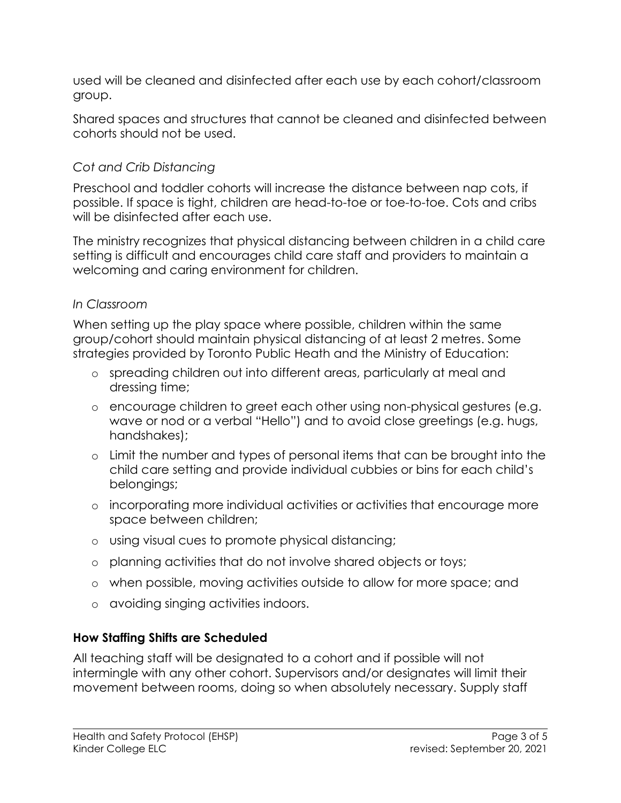used will be cleaned and disinfected after each use by each cohort/classroom group.

Shared spaces and structures that cannot be cleaned and disinfected between cohorts should not be used.

## *Cot and Crib Distancing*

Preschool and toddler cohorts will increase the distance between nap cots, if possible. If space is tight, children are head-to-toe or toe-to-toe. Cots and cribs will be disinfected after each use.

The ministry recognizes that physical distancing between children in a child care setting is difficult and encourages child care staff and providers to maintain a welcoming and caring environment for children.

### *In Classroom*

When setting up the play space where possible, children within the same group/cohort should maintain physical distancing of at least 2 metres. Some strategies provided by Toronto Public Heath and the Ministry of Education:

- o spreading children out into different areas, particularly at meal and dressing time;
- o encourage children to greet each other using non-physical gestures (e.g. wave or nod or a verbal "Hello") and to avoid close greetings (e.g. hugs, handshakes);
- o Limit the number and types of personal items that can be brought into the child care setting and provide individual cubbies or bins for each child's belongings;
- o incorporating more individual activities or activities that encourage more space between children;
- o using visual cues to promote physical distancing;
- o planning activities that do not involve shared objects or toys;
- o when possible, moving activities outside to allow for more space; and
- o avoiding singing activities indoors.

# **How Staffing Shifts are Scheduled**

All teaching staff will be designated to a cohort and if possible will not intermingle with any other cohort. Supervisors and/or designates will limit their movement between rooms, doing so when absolutely necessary. Supply staff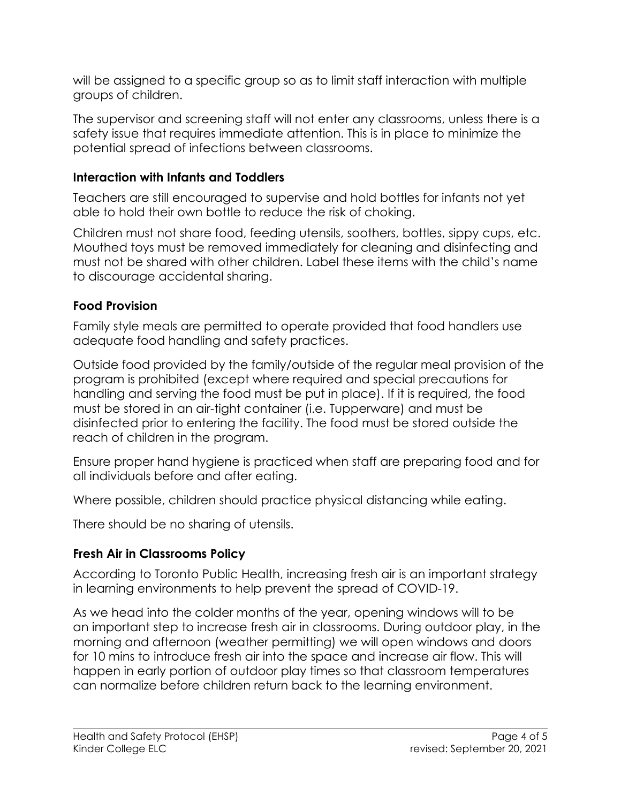will be assigned to a specific group so as to limit staff interaction with multiple groups of children.

The supervisor and screening staff will not enter any classrooms, unless there is a safety issue that requires immediate attention. This is in place to minimize the potential spread of infections between classrooms.

## **Interaction with Infants and Toddlers**

Teachers are still encouraged to supervise and hold bottles for infants not yet able to hold their own bottle to reduce the risk of choking.

Children must not share food, feeding utensils, soothers, bottles, sippy cups, etc. Mouthed toys must be removed immediately for cleaning and disinfecting and must not be shared with other children. Label these items with the child's name to discourage accidental sharing.

# **Food Provision**

Family style meals are permitted to operate provided that food handlers use adequate food handling and safety practices.

Outside food provided by the family/outside of the regular meal provision of the program is prohibited (except where required and special precautions for handling and serving the food must be put in place). If it is required, the food must be stored in an air-tight container (i.e. Tupperware) and must be disinfected prior to entering the facility. The food must be stored outside the reach of children in the program.

Ensure proper hand hygiene is practiced when staff are preparing food and for all individuals before and after eating.

Where possible, children should practice physical distancing while eating.

There should be no sharing of utensils.

# **Fresh Air in Classrooms Policy**

According to Toronto Public Health, increasing fresh air is an important strategy in learning environments to help prevent the spread of COVID-19.

As we head into the colder months of the year, opening windows will to be an important step to increase fresh air in classrooms. During outdoor play, in the morning and afternoon (weather permitting) we will open windows and doors for 10 mins to introduce fresh air into the space and increase air flow. This will happen in early portion of outdoor play times so that classroom temperatures can normalize before children return back to the learning environment.